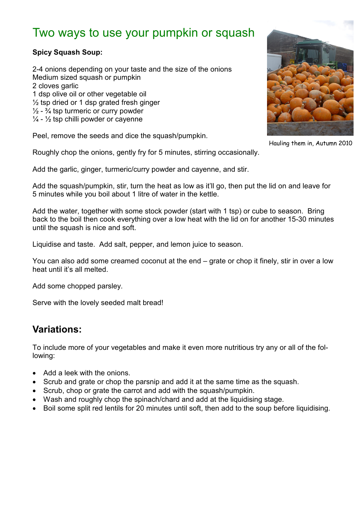# Two ways to use your pumpkin or squash

### **Spicy Squash Soup:**

2-4 onions depending on your taste and the size of the onions Medium sized squash or pumpkin 2 cloves garlic 1 dsp olive oil or other vegetable oil  $\frac{1}{2}$  tsp dried or 1 dsp grated fresh ginger  $\frac{1}{2}$  -  $\frac{3}{4}$  tsp turmeric or curry powder  $\frac{1}{4}$  -  $\frac{1}{2}$  tsp chilli powder or cayenne

Peel, remove the seeds and dice the squash/pumpkin.

Roughly chop the onions, gently fry for 5 minutes, stirring occasionally.

Add the garlic, ginger, turmeric/curry powder and cayenne, and stir.

Add the squash/pumpkin, stir, turn the heat as low as it'll go, then put the lid on and leave for 5 minutes while you boil about 1 litre of water in the kettle.

Add the water, together with some stock powder (start with 1 tsp) or cube to season. Bring back to the boil then cook everything over a low heat with the lid on for another 15-30 minutes until the squash is nice and soft.

Liquidise and taste. Add salt, pepper, and lemon juice to season.

You can also add some creamed coconut at the end – grate or chop it finely, stir in over a low heat until it's all melted.

Add some chopped parsley.

Serve with the lovely seeded malt bread!

### **Variations:**

To include more of your vegetables and make it even more nutritious try any or all of the following:

- Add a leek with the onions.
- Scrub and grate or chop the parsnip and add it at the same time as the squash.
- Scrub, chop or grate the carrot and add with the squash/pumpkin.
- Wash and roughly chop the spinach/chard and add at the liquidising stage.
- Boil some split red lentils for 20 minutes until soft, then add to the soup before liquidising.



Hauling them in, Autumn 2010